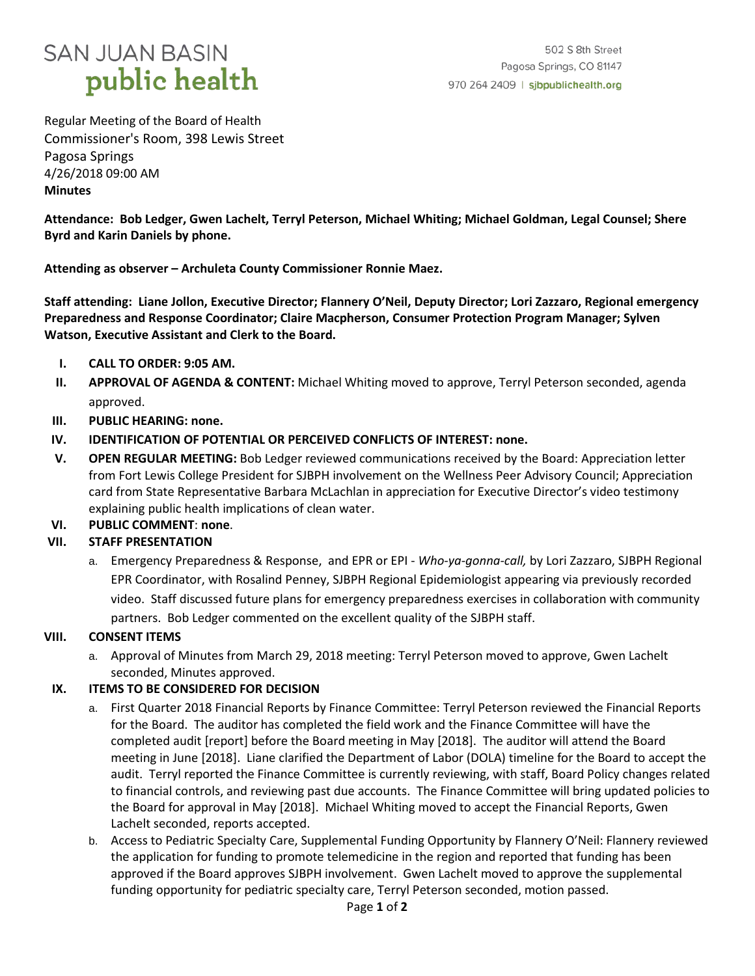## **SAN JUAN BASIN** public health

Regular Meeting of the Board of Health Commissioner's Room, 398 Lewis Street Pagosa Springs 4/26/2018 09:00 AM **Minutes**

**Attendance: Bob Ledger, Gwen Lachelt, Terryl Peterson, Michael Whiting; Michael Goldman, Legal Counsel; Shere Byrd and Karin Daniels by phone.** 

**Attending as observer – Archuleta County Commissioner Ronnie Maez.**

**Staff attending: Liane Jollon, Executive Director; Flannery O'Neil, Deputy Director; Lori Zazzaro, Regional emergency Preparedness and Response Coordinator; Claire Macpherson, Consumer Protection Program Manager; Sylven Watson, Executive Assistant and Clerk to the Board.**

- **I. CALL TO ORDER: 9:05 AM.**
- **II. APPROVAL OF AGENDA & CONTENT:** Michael Whiting moved to approve, Terryl Peterson seconded, agenda approved.
- **III. PUBLIC HEARING: none.**
- **IV. IDENTIFICATION OF POTENTIAL OR PERCEIVED CONFLICTS OF INTEREST: none.**
- **V. OPEN REGULAR MEETING:** Bob Ledger reviewed communications received by the Board: Appreciation letter from Fort Lewis College President for SJBPH involvement on the Wellness Peer Advisory Council; Appreciation card from State Representative Barbara McLachlan in appreciation for Executive Director's video testimony explaining public health implications of clean water.
- **VI. PUBLIC COMMENT**: **none**.

## **VII. STAFF PRESENTATION**

a. Emergency Preparedness & Response, and EPR or EPI - *Who-ya-gonna-call,* by Lori Zazzaro, SJBPH Regional EPR Coordinator, with Rosalind Penney, SJBPH Regional Epidemiologist appearing via previously recorded video. Staff discussed future plans for emergency preparedness exercises in collaboration with community partners. Bob Ledger commented on the excellent quality of the SJBPH staff.

### **VIII. CONSENT ITEMS**

a. Approval of Minutes from March 29, 2018 meeting: Terryl Peterson moved to approve, Gwen Lachelt seconded, Minutes approved.

### **IX. ITEMS TO BE CONSIDERED FOR DECISION**

- a. First Quarter 2018 Financial Reports by Finance Committee: Terryl Peterson reviewed the Financial Reports for the Board. The auditor has completed the field work and the Finance Committee will have the completed audit [report] before the Board meeting in May [2018]. The auditor will attend the Board meeting in June [2018]. Liane clarified the Department of Labor (DOLA) timeline for the Board to accept the audit. Terryl reported the Finance Committee is currently reviewing, with staff, Board Policy changes related to financial controls, and reviewing past due accounts. The Finance Committee will bring updated policies to the Board for approval in May [2018]. Michael Whiting moved to accept the Financial Reports, Gwen Lachelt seconded, reports accepted.
- b. Access to Pediatric Specialty Care, Supplemental Funding Opportunity by Flannery O'Neil: Flannery reviewed the application for funding to promote telemedicine in the region and reported that funding has been approved if the Board approves SJBPH involvement. Gwen Lachelt moved to approve the supplemental funding opportunity for pediatric specialty care, Terryl Peterson seconded, motion passed.